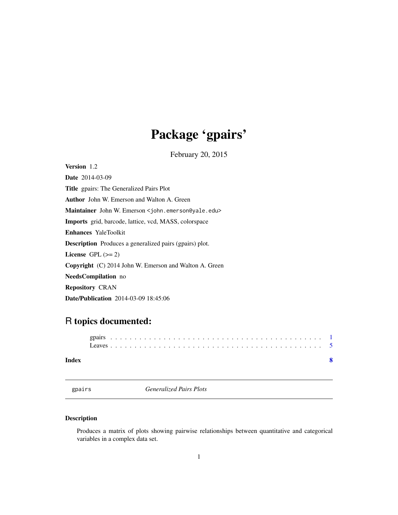## Package 'gpairs'

February 20, 2015

<span id="page-0-1"></span><span id="page-0-0"></span>Version 1.2

Date 2014-03-09 Title gpairs: The Generalized Pairs Plot Author John W. Emerson and Walton A. Green Maintainer John W. Emerson <john.emerson@yale.edu> Imports grid, barcode, lattice, vcd, MASS, colorspace Enhances YaleToolkit Description Produces a generalized pairs (gpairs) plot. License GPL  $(>= 2)$ Copyright (C) 2014 John W. Emerson and Walton A. Green NeedsCompilation no Repository CRAN Date/Publication 2014-03-09 18:45:06

### R topics documented:

| Index |  |  |  |  |  |  |  |  |  |  |  |  |  |  |  |  |  |  |  |  |  |  |  |
|-------|--|--|--|--|--|--|--|--|--|--|--|--|--|--|--|--|--|--|--|--|--|--|--|

| gpai | г |  |
|------|---|--|
|      |   |  |

**Generalized Pairs Plots** 

#### Description

Produces a matrix of plots showing pairwise relationships between quantitative and categorical variables in a complex data set.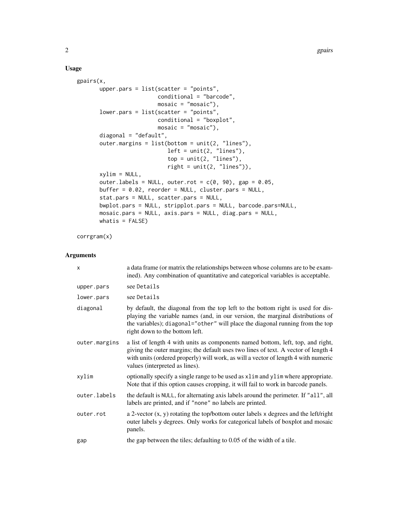#### Usage

```
gpairs(x,
       upper.pars = list(scatter = "points",
                         conditional = "barcode",
                         mosaic = "mosaic"),
       lower.pars = list(scatter = "points",
                         conditional = "boxplot",
                         mosaic = "mosaic"),
       diagonal = "default",
       outer.margins = list(bottom = unit(2, "lines"),left = unit(2, "lines"),top = unit(2, "lines"),right = unit(2, "lines")),
       xylim = NULL,
       outer.labels = NULL, outer.rot = c(0, 90), gap = 0.05,
      buffer = 0.02, reorder = NULL, cluster.pars = NULL,
       stat.pars = NULL, scatter.pars = NULL,
      bwplot.pars = NULL, stripplot.pars = NULL, barcode.pars=NULL,
      mosaic.pars = NULL, axis.pars = NULL, diag.pars = NULL,
      whatis = FALSE)
```
corrgram(x)

#### Arguments

| $\times$      | a data frame (or matrix the relationships between whose columns are to be exam-<br>ined). Any combination of quantitative and categorical variables is acceptable.                                                                                                                            |
|---------------|-----------------------------------------------------------------------------------------------------------------------------------------------------------------------------------------------------------------------------------------------------------------------------------------------|
| upper.pars    | see Details                                                                                                                                                                                                                                                                                   |
| lower.pars    | see Details                                                                                                                                                                                                                                                                                   |
| diagonal      | by default, the diagonal from the top left to the bottom right is used for dis-<br>playing the variable names (and, in our version, the marginal distributions of<br>the variables); diagonal="other" will place the diagonal running from the top<br>right down to the bottom left.          |
| outer.margins | a list of length 4 with units as components named bottom, left, top, and right,<br>giving the outer margins; the default uses two lines of text. A vector of length 4<br>with units (ordered properly) will work, as will a vector of length 4 with numeric<br>values (interpreted as lines). |
| xylim         | optionally specify a single range to be used as xlim and ylim where appropriate.<br>Note that if this option causes cropping, it will fail to work in barcode panels.                                                                                                                         |
| outer.labels  | the default is NULL, for alternating axis labels around the perimeter. If "all", all<br>labels are printed, and if "none" no labels are printed.                                                                                                                                              |
| outer.rot     | a 2-vector $(x, y)$ rotating the top/bottom outer labels $x$ degrees and the left/right<br>outer labels y degrees. Only works for categorical labels of boxplot and mosaic<br>panels.                                                                                                         |
| gap           | the gap between the tiles; defaulting to $0.05$ of the width of a tile.                                                                                                                                                                                                                       |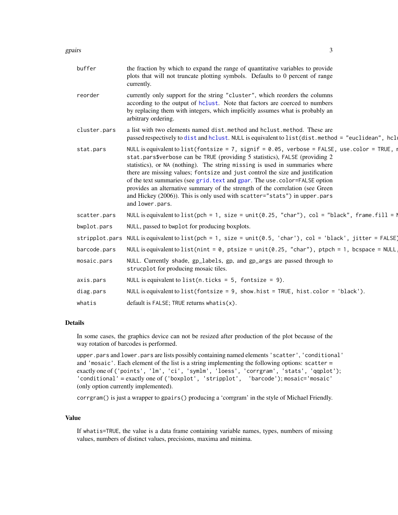<span id="page-2-0"></span>

| buffer         | the fraction by which to expand the range of quantitative variables to provide<br>plots that will not truncate plotting symbols. Defaults to 0 percent of range<br>currently.                                                                                                                                                                                                                                                                                                                                                                                                                                    |
|----------------|------------------------------------------------------------------------------------------------------------------------------------------------------------------------------------------------------------------------------------------------------------------------------------------------------------------------------------------------------------------------------------------------------------------------------------------------------------------------------------------------------------------------------------------------------------------------------------------------------------------|
| reorder        | currently only support for the string "cluster", which reorders the columns<br>according to the output of hclust. Note that factors are coerced to numbers<br>by replacing them with integers, which implicitly assumes what is probably an<br>arbitrary ordering.                                                                                                                                                                                                                                                                                                                                               |
| cluster.pars   | a list with two elements named dist, method and holust, method. These are<br>passed respectively to dist and hclust. NULL is equivalent to list(dist.method = "euclidean", hclu                                                                                                                                                                                                                                                                                                                                                                                                                                  |
| stat.pars      | NULL is equivalent to list (fontsize = 7, signif = $0.05$ , verbose = FALSE, use.color = TRUE, i<br>stat.pars\$verbose can be TRUE (providing 5 statistics), FALSE (providing 2<br>statistics), or NA (nothing). The string missing is used in summaries where<br>there are missing values; fontsize and just control the size and justification<br>of the text summaries (see grid. text and gpar. The use. color=FALSE option<br>provides an alternative summary of the strength of the correlation (see Green<br>and Hickey (2006)). This is only used with scatter="stats") in upper.pars<br>and lower.pars. |
| scatter.pars   | NULL is equivalent to list(pch = 1, size = unit(0.25, "char"), col = "black", frame.fill = $\mathbb{I}$                                                                                                                                                                                                                                                                                                                                                                                                                                                                                                          |
| bwplot.pars    | NULL, passed to bwplot for producing boxplots.                                                                                                                                                                                                                                                                                                                                                                                                                                                                                                                                                                   |
| stripplot.pars | NULL is equivalent to list(pch = 1, size = unit(0.5, 'char'), col = 'black', jitter = FALSE)                                                                                                                                                                                                                                                                                                                                                                                                                                                                                                                     |
| barcode.pars   | NULL is equivalent to list(nint = $0$ , ptsize = unit(0.25, "char"), ptpch = 1, bcspace = NULL                                                                                                                                                                                                                                                                                                                                                                                                                                                                                                                   |
| mosaic.pars    | NULL. Currently shade, gp_labels, gp, and gp_args are passed through to<br>strucplot for producing mosaic tiles.                                                                                                                                                                                                                                                                                                                                                                                                                                                                                                 |
| axis.pars      | NULL is equivalent to list (n.ticks = $5$ , fontsize = 9).                                                                                                                                                                                                                                                                                                                                                                                                                                                                                                                                                       |
| diag.pars      | NULL is equivalent to $list(fontsize = 9, show.hist = TRUE, hist.color = 'black').$                                                                                                                                                                                                                                                                                                                                                                                                                                                                                                                              |
| whatis         | default is $FALSE$ ; TRUE returns what $is(x)$ .                                                                                                                                                                                                                                                                                                                                                                                                                                                                                                                                                                 |
|                |                                                                                                                                                                                                                                                                                                                                                                                                                                                                                                                                                                                                                  |

#### Details

In some cases, the graphics device can not be resized after production of the plot because of the way rotation of barcodes is performed.

upper.pars and lower.pars are lists possibly containing named elements 'scatter', 'conditional' and 'mosaic'. Each element of the list is a string implementing the following options: scatter = exactly one of ('points', 'lm', 'ci', 'symlm', 'loess', 'corrgram', 'stats', 'qqplot'); 'conditional' = exactly one of ('boxplot', 'stripplot', 'barcode'); mosaic='mosaic' (only option currently implemented).

corrgram() is just a wrapper to gpairs() producing a 'corrgram' in the style of Michael Friendly.

#### Value

If whatis=TRUE, the value is a data frame containing variable names, types, numbers of missing values, numbers of distinct values, precisions, maxima and minima.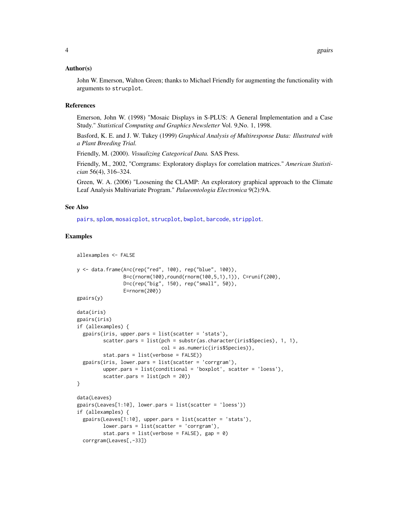#### <span id="page-3-0"></span>Author(s)

John W. Emerson, Walton Green; thanks to Michael Friendly for augmenting the functionality with arguments to strucplot.

#### References

Emerson, John W. (1998) "Mosaic Displays in S-PLUS: A General Implementation and a Case Study." *Statistical Computing and Graphics Newsletter* Vol. 9,No. 1, 1998.

Basford, K. E. and J. W. Tukey (1999) *Graphical Analysis of Multiresponse Data: Illustrated with a Plant Breeding Trial.*

Friendly, M. (2000). *Visualizing Categorical Data.* SAS Press.

Friendly, M., 2002, "Corrgrams: Exploratory displays for correlation matrices." *American Statistician* 56(4), 316–324.

Green, W. A. (2006) "Loosening the CLAMP: An exploratory graphical approach to the Climate Leaf Analysis Multivariate Program." *Palaeontologia Electronica* 9(2):9A.

#### See Also

[pairs](#page-0-1), [splom](#page-0-1), [mosaicplot](#page-0-1), [strucplot](#page-0-1), [bwplot](#page-0-1), [barcode](#page-0-1), [stripplot](#page-0-1).

#### Examples

```
allexamples <- FALSE
y <- data.frame(A=c(rep("red", 100), rep("blue", 100)),
                B=c(rnorm(100),round(rnorm(100,5,1),1)), C=runif(200),
                D=c(rep("big", 150), rep("small", 50)),
                E=rnorm(200))
gpairs(y)
data(iris)
gpairs(iris)
if (allexamples) {
  gpairs(iris, upper.pars = list(scatter = 'stats'),
         scatter.pars = list(pch = substr(as.character(iris$Species), 1, 1),
                             col = as.numeric(iris$Species)),
        stat.pars = list(verbose = FALSE))
  gpairs(iris, lower.pars = list(scatter = 'corrgram'),
         upper.pars = list(conditional = 'boxplot', scatter = 'loess'),
         scatter.pars = list(pch = 20)}
data(Leaves)
gpairs(Leaves[1:10], lower.pars = list(scatter = 'loess'))
if (allexamples) {
  gpairs(Leaves[1:10], upper.pars = list(scatter = 'stats'),
         lower.pars = list(scatter = 'corrgram'),
         stat.pars = list(verbose = FALSE), gap = 0)
  corrgram(Leaves[,-33])
```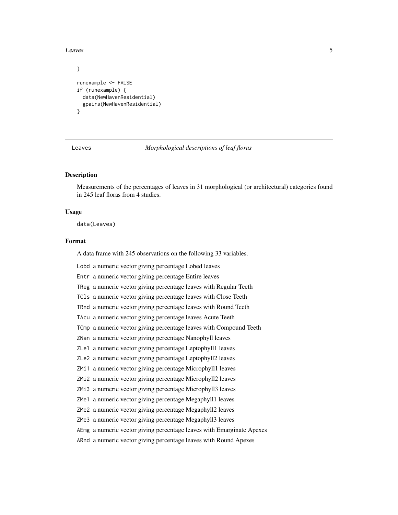<span id="page-4-0"></span>Leaves 5

```
}
runexample <- FALSE
if (runexample) {
 data(NewHavenResidential)
 gpairs(NewHavenResidential)
}
```
Leaves *Morphological descriptions of leaf floras*

#### Description

Measurements of the percentages of leaves in 31 morphological (or architectural) categories found in 245 leaf floras from 4 studies.

#### Usage

data(Leaves)

#### Format

A data frame with 245 observations on the following 33 variables.

Lobd a numeric vector giving percentage Lobed leaves

Entr a numeric vector giving percentage Entire leaves

TReg a numeric vector giving percentage leaves with Regular Teeth

TCls a numeric vector giving percentage leaves with Close Teeth

TRnd a numeric vector giving percentage leaves with Round Teeth

TAcu a numeric vector giving percentage leaves Acute Teeth

TCmp a numeric vector giving percentage leaves with Compound Teeth

ZNan a numeric vector giving percentage Nanophyll leaves

ZLe1 a numeric vector giving percentage Leptophyll1 leaves

ZLe2 a numeric vector giving percentage Leptophyll2 leaves

ZMi1 a numeric vector giving percentage Microphyll1 leaves

ZMi2 a numeric vector giving percentage Microphyll2 leaves

ZMi3 a numeric vector giving percentage Microphyll3 leaves

ZMe1 a numeric vector giving percentage Megaphyll1 leaves

ZMe2 a numeric vector giving percentage Megaphyll2 leaves

ZMe3 a numeric vector giving percentage Megaphyll3 leaves

AEmg a numeric vector giving percentage leaves with Emarginate Apexes

ARnd a numeric vector giving percentage leaves with Round Apexes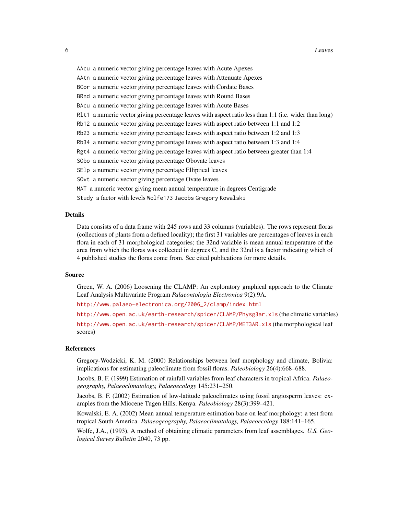| AAcu a numeric vector giving percentage leaves with Acute Apexes |  |  |
|------------------------------------------------------------------|--|--|
|                                                                  |  |  |

AAtn a numeric vector giving percentage leaves with Attenuate Apexes

BCor a numeric vector giving percentage leaves with Cordate Bases

BRnd a numeric vector giving percentage leaves with Round Bases

BAcu a numeric vector giving percentage leaves with Acute Bases

Rlt1 a numeric vector giving percentage leaves with aspect ratio less than 1:1 (i.e. wider than long)

Rb12 a numeric vector giving percentage leaves with aspect ratio between 1:1 and 1:2

Rb23 a numeric vector giving percentage leaves with aspect ratio between 1:2 and 1:3

Rb34 a numeric vector giving percentage leaves with aspect ratio between 1:3 and 1:4

Rgt4 a numeric vector giving percentage leaves with aspect ratio between greater than 1:4

SObo a numeric vector giving percentage Obovate leaves

SElp a numeric vector giving percentage Elliptical leaves

SOvt a numeric vector giving percentage Ovate leaves

MAT a numeric vector giving mean annual temperature in degrees Centigrade

Study a factor with levels Wolfe173 Jacobs Gregory Kowalski

#### Details

Data consists of a data frame with 245 rows and 33 columns (variables). The rows represent floras (collections of plants from a defined locality); the first 31 variables are percentages of leaves in each flora in each of 31 morphological categories; the 32nd variable is mean annual temperature of the area from which the floras was collected in degrees C, and the 32nd is a factor indicating which of 4 published studies the floras come from. See cited publications for more details.

#### Source

Green, W. A. (2006) Loosening the CLAMP: An exploratory graphical approach to the Climate Leaf Analysis Multivariate Program *Palaeontologia Electronica* 9(2):9A.

[http://www.palaeo-electronica.org/2006\\_2/clamp/index.html](http://www.palaeo-electronica.org/2006_2/clamp/index.html)

<http://www.open.ac.uk/earth-research/spicer/CLAMP/Physg3ar.xls> (the climatic variables) <http://www.open.ac.uk/earth-research/spicer/CLAMP/MET3AR.xls> (the morphological leaf scores)

#### References

Gregory-Wodzicki, K. M. (2000) Relationships between leaf morphology and climate, Bolivia: implications for estimating paleoclimate from fossil floras. *Paleobiology* 26(4):668–688.

Jacobs, B. F. (1999) Estimation of rainfall variables from leaf characters in tropical Africa. *Palaeogeography, Palaeoclimatology, Palaeoecology* 145:231–250.

Jacobs, B. F. (2002) Estimation of low-latitude paleoclimates using fossil angiosperm leaves: examples from the Miocene Tugen Hills, Kenya. *Paleobiology* 28(3):399–421.

Kowalski, E. A. (2002) Mean annual temperature estimation base on leaf morphology: a test from tropical South America. *Palaeogeography, Palaeoclimatology, Palaeoecology* 188:141–165.

Wolfe, J.A., (1993), A method of obtaining climatic parameters from leaf assemblages. *U.S. Geological Survey Bulletin* 2040, 73 pp.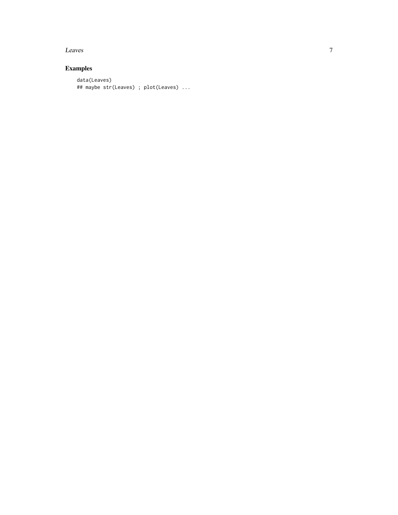#### Leaves

### Examples

```
data(Leaves)
## maybe str(Leaves) ; plot(Leaves) ...
```